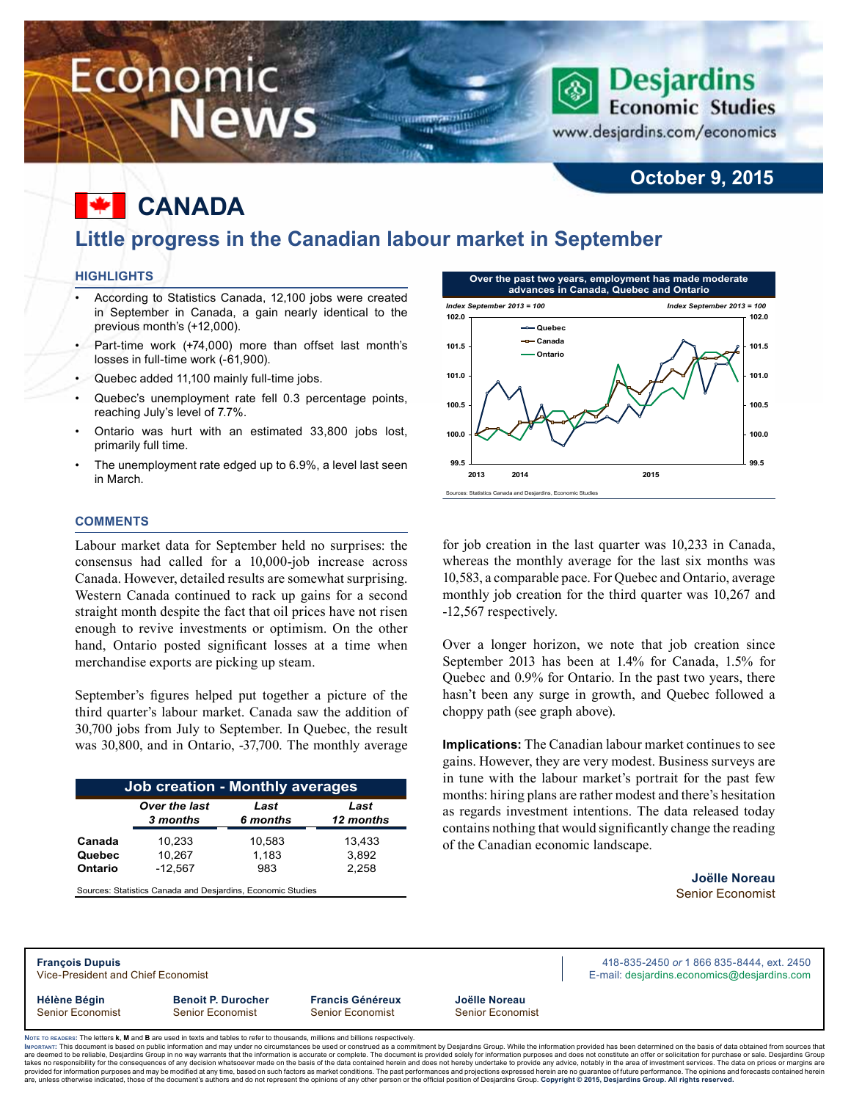# Economic **News**

### **Economic Studies** www.desjardins.com/economics

**Desjardins** 

### **October 9, 2015**

# **Canada**

### **Little progress in the Canadian labour market in September**

WINDOWS AND ID on Hangilli

#### **Highlights**

- According to Statistics Canada, 12,100 jobs were created in September in Canada, a gain nearly identical to the previous month's (+12,000).
- Part-time work (+74,000) more than offset last month's losses in full-time work (-61,900).
- Quebec added 11,100 mainly full-time jobs.
- Quebec's unemployment rate fell 0.3 percentage points, reaching July's level of 7.7%.
- Ontario was hurt with an estimated 33,800 jobs lost, primarily full time.
- The unemployment rate edged up to 6.9%, a level last seen in March.

#### **Comments**

Labour market data for September held no surprises: the consensus had called for a 10,000-job increase across Canada. However, detailed results are somewhat surprising. Western Canada continued to rack up gains for a second straight month despite the fact that oil prices have not risen enough to revive investments or optimism. On the other hand, Ontario posted significant losses at a time when merchandise exports are picking up steam.

September's figures helped put together a picture of the third quarter's labour market. Canada saw the addition of 30,700 jobs from July to September. In Quebec, the result was 30,800, and in Ontario, -37,700. The monthly average

| <b>Job creation - Monthly averages</b> |               |          |           |  |  |  |  |  |  |
|----------------------------------------|---------------|----------|-----------|--|--|--|--|--|--|
|                                        | Over the last | Last     | Last      |  |  |  |  |  |  |
|                                        | 3 months      | 6 months | 12 months |  |  |  |  |  |  |
| Canada                                 | 10,233        | 10,583   | 13,433    |  |  |  |  |  |  |
| Quebec                                 | 10.267        | 1,183    | 3,892     |  |  |  |  |  |  |
| Ontario                                | $-12,567$     | 983      | 2,258     |  |  |  |  |  |  |

Sources: Statistics Canada and Desjardins, Economic Studies



for job creation in the last quarter was 10,233 in Canada, whereas the monthly average for the last six months was 10,583, a comparable pace. For Quebec and Ontario, average monthly job creation for the third quarter was 10,267 and -12,567 respectively.

Over a longer horizon, we note that job creation since September 2013 has been at 1.4% for Canada, 1.5% for Quebec and 0.9% for Ontario. In the past two years, there hasn't been any surge in growth, and Quebec followed a choppy path (see graph above).

**Implications:** The Canadian labour market continues to see gains. However, they are very modest. Business surveys are in tune with the labour market's portrait for the past few months: hiring plans are rather modest and there's hesitation as regards investment intentions. The data released today contains nothing that would significantly change the reading of the Canadian economic landscape.

> **Joëlle Noreau** Senior Economist

**Hélène Bégin Benoit P. Durocher Francis Généreux Joëlle Noreau** Senior Economist Senior Economist Senior Economist Senior Economist

**François Dupuis** 418-835-2450 *or* 1 866 835-8444, ext. 2450 Vice-President and Chief Economist **E-mail:** designified exception and Chief Economist E-mail: designified exception and Chief Economics of the state of the state of the state of the state of the state of the state of the

Noте то келоекs: The letters **k, M** and **B** are used in texts and tables to refer to thousands, millions and billions respectively.<br>Імроктлит: This document is based on public information and may under no circumstances be are deemed to be reliable. Desiardins Group in no way warrants that the information is accurate or complete. The document is provided solely for information purposes and does not constitute an offer or solicitation for pur takes no responsibility for the consequences of any decision whatsoever made on the basis of the data contained herein and does not hereby undertake to provide any advice, notably in the area of investment services. The da

.<br>are, unless otherwise indicated, those of the document's authors and do not represent the opinions of any other person or the official position of Desjardins Group. Copyright © 2015, Desjardins Group. All rights reserved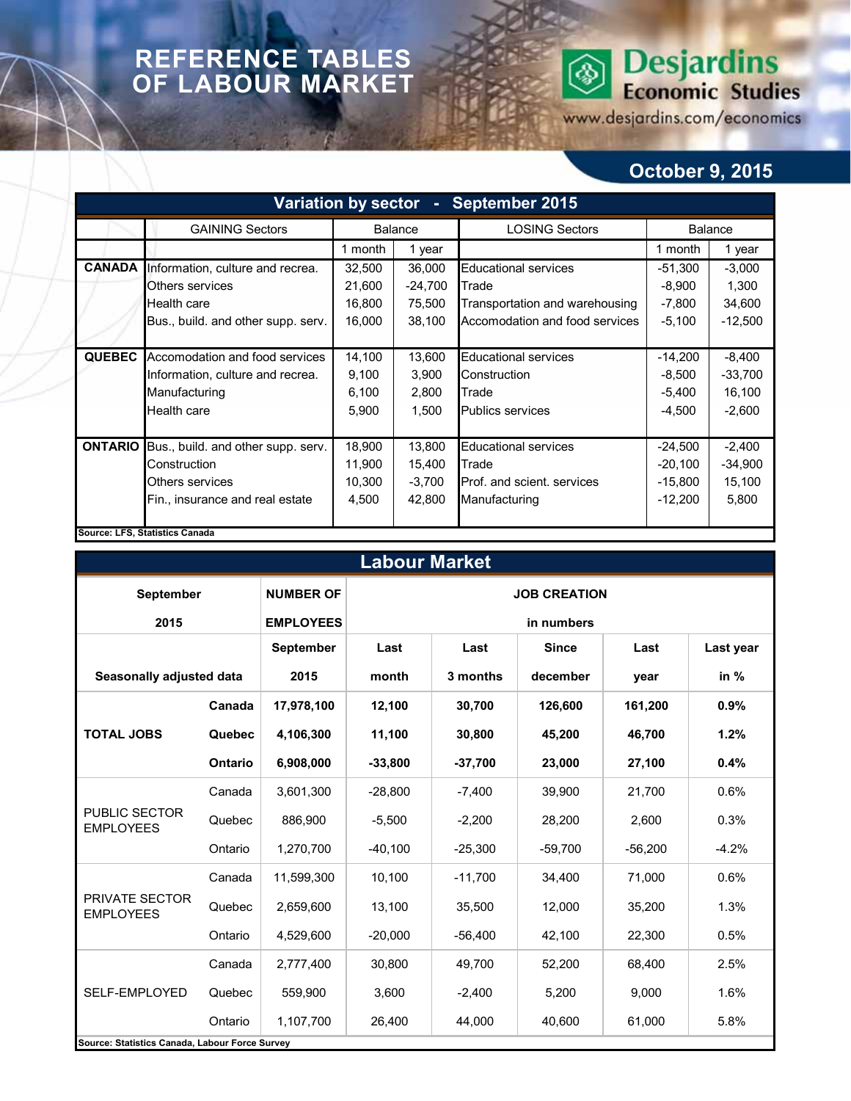## **REFERENCE TABLES OF LABOUR MARKET**

# **Desjardins**<br>Economic Studies  $\circledS$

www.desjardins.com/economics

## **October 9, 2015**

| Variation by sector - September 2015 |                                    |                    |           |                                |                |           |  |  |  |  |
|--------------------------------------|------------------------------------|--------------------|-----------|--------------------------------|----------------|-----------|--|--|--|--|
|                                      | <b>GAINING Sectors</b>             | <b>Balance</b>     |           | <b>LOSING Sectors</b>          | <b>Balance</b> |           |  |  |  |  |
|                                      |                                    | 1 month            | 1 year    |                                | 1 month        | 1 year    |  |  |  |  |
| <b>CANADA</b>                        | Information, culture and recrea.   | 32,500             | 36,000    | <b>Educational services</b>    | $-51,300$      | $-3,000$  |  |  |  |  |
|                                      | Others services                    | 21,600             | $-24,700$ | <b>Trade</b>                   | $-8,900$       | 1,300     |  |  |  |  |
|                                      | Health care                        | 16,800             | 75,500    | Transportation and warehousing | $-7,800$       | 34,600    |  |  |  |  |
|                                      | Bus., build. and other supp. serv. | 16,000             | 38,100    | Accomodation and food services | $-5,100$       | $-12,500$ |  |  |  |  |
|                                      |                                    |                    |           |                                |                |           |  |  |  |  |
| <b>QUEBEC</b>                        | Accomodation and food services     | 14,100             | 13,600    | <b>Educational services</b>    | $-14,200$      | $-8,400$  |  |  |  |  |
|                                      | Information, culture and recrea.   | 9,100              | 3,900     | Construction                   | $-8,500$       | $-33,700$ |  |  |  |  |
|                                      | Manufacturing                      | 6,100              | 2,800     | Trade                          | $-5,400$       | 16,100    |  |  |  |  |
|                                      | Health care                        | 5,900<br>1,500     |           | <b>Publics services</b>        | $-4,500$       | $-2,600$  |  |  |  |  |
|                                      |                                    |                    |           |                                |                |           |  |  |  |  |
| <b>ONTARIO</b>                       | Bus., build. and other supp. serv. | 18,900             | 13,800    | <b>Educational services</b>    | $-24,500$      | $-2,400$  |  |  |  |  |
|                                      | Construction                       | 11,900             | 15,400    | Trade                          | $-20,100$      | $-34,900$ |  |  |  |  |
|                                      | Others services                    | 10,300<br>$-3,700$ |           | Prof. and scient. services     | $-15,800$      | 15,100    |  |  |  |  |
|                                      | Fin., insurance and real estate    | 4,500              | 42,800    | Manufacturing                  | $-12,200$      | 5,800     |  |  |  |  |
|                                      |                                    |                    |           |                                |                |           |  |  |  |  |
|                                      | Source: LFS, Statistics Canada     |                    |           |                                |                |           |  |  |  |  |

| <b>Labour Market</b>                           |                |                  |                     |           |              |           |           |  |  |  |  |
|------------------------------------------------|----------------|------------------|---------------------|-----------|--------------|-----------|-----------|--|--|--|--|
| September                                      |                | <b>NUMBER OF</b> | <b>JOB CREATION</b> |           |              |           |           |  |  |  |  |
| 2015                                           |                | <b>EMPLOYEES</b> | in numbers          |           |              |           |           |  |  |  |  |
|                                                |                | <b>September</b> | Last<br>Last        |           | <b>Since</b> | Last      | Last year |  |  |  |  |
| Seasonally adjusted data                       |                | 2015             | month               | 3 months  | december     | year      | in %      |  |  |  |  |
|                                                | Canada         | 17,978,100       | 12,100              | 30,700    | 126.600      | 161,200   | 0.9%      |  |  |  |  |
| <b>TOTAL JOBS</b>                              | Quebec         | 4,106,300        | 11,100              | 30,800    | 45,200       | 46,700    | 1.2%      |  |  |  |  |
|                                                | <b>Ontario</b> | 6,908,000        | $-33,800$           | $-37,700$ | 23,000       | 27,100    | 0.4%      |  |  |  |  |
|                                                | Canada         | 3,601,300        | $-28,800$           | $-7,400$  | 39,900       | 21,700    | 0.6%      |  |  |  |  |
| PUBLIC SECTOR<br><b>EMPLOYEES</b>              | Quebec         | 886,900          | $-5,500$            | $-2,200$  | 28,200       | 2,600     | 0.3%      |  |  |  |  |
|                                                | Ontario        | 1,270,700        | $-40,100$           | $-25,300$ | $-59,700$    | $-56,200$ | $-4.2%$   |  |  |  |  |
|                                                | Canada         | 11,599,300       | 10,100              | $-11,700$ | 34.400       | 71,000    | 0.6%      |  |  |  |  |
| PRIVATE SECTOR<br><b>EMPLOYEES</b>             | Quebec         | 2,659,600        | 13,100              | 35,500    | 12,000       | 35,200    | 1.3%      |  |  |  |  |
|                                                | Ontario        | 4,529,600        | $-20,000$           | $-56,400$ | 42,100       | 22,300    | 0.5%      |  |  |  |  |
|                                                | Canada         | 2,777,400        | 30,800              | 49,700    | 52,200       | 68.400    | 2.5%      |  |  |  |  |
| SELF-EMPLOYED                                  | Quebec         | 559,900          | 3,600               | $-2,400$  | 5,200        | 9,000     | 1.6%      |  |  |  |  |
|                                                | Ontario        | 1,107,700        | 26,400              | 44,000    | 40,600       | 61,000    | 5.8%      |  |  |  |  |
| Source: Statistics Canada, Labour Force Survey |                |                  |                     |           |              |           |           |  |  |  |  |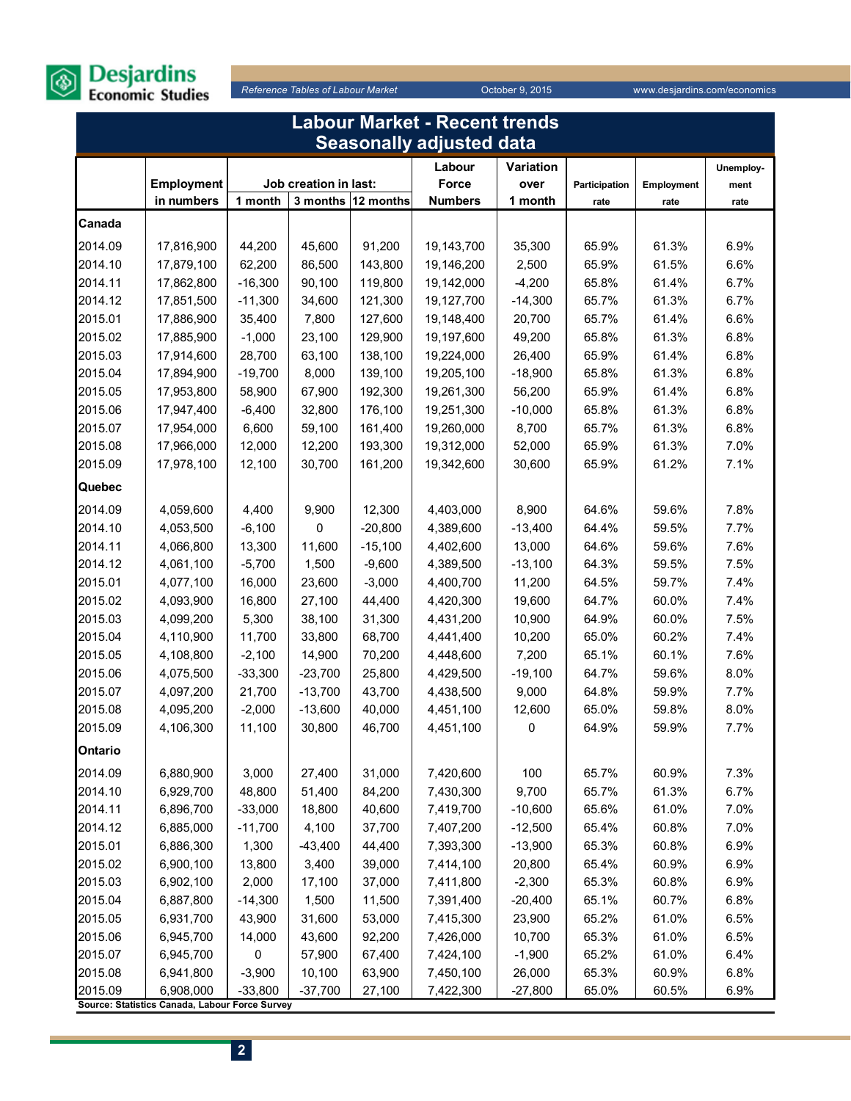

| Labour Market - Recent trends |                                                |                       |                       |                    |                                 |           |               |            |           |  |
|-------------------------------|------------------------------------------------|-----------------------|-----------------------|--------------------|---------------------------------|-----------|---------------|------------|-----------|--|
|                               |                                                |                       |                       |                    | <b>Seasonally adjusted data</b> |           |               |            |           |  |
|                               |                                                |                       |                       |                    | Labour                          | Variation |               |            | Unemploy- |  |
|                               | Employment                                     |                       | Job creation in last: |                    | Force                           | over      | Participation | Employment | ment      |  |
|                               | in numbers                                     | 1 month               |                       | 3 months 12 months | <b>Numbers</b>                  | 1 month   | rate          | rate       | rate      |  |
| Canada                        |                                                |                       |                       |                    |                                 |           |               |            |           |  |
| 2014.09                       | 17,816,900                                     | 44,200                | 45,600                | 91,200             | 19,143,700                      | 35,300    | 65.9%         | 61.3%      | 6.9%      |  |
| 2014.10                       | 17,879,100                                     | 62,200                | 86,500                | 143,800            | 19,146,200                      | 2,500     | 65.9%         | 61.5%      | 6.6%      |  |
| 2014.11                       | 17,862,800                                     | $-16,300$             | 90,100                | 119,800            | 19,142,000                      | $-4,200$  | 65.8%         | 61.4%      | 6.7%      |  |
| 2014.12                       | 17,851,500                                     | $-11,300$             | 34,600                | 121,300            | 19,127,700                      | $-14,300$ | 65.7%         | 61.3%      | 6.7%      |  |
| 2015.01                       | 17,886,900                                     | 35,400                | 7,800                 | 127,600            | 19,148,400                      | 20,700    | 65.7%         | 61.4%      | 6.6%      |  |
| 2015.02                       | 17,885,900                                     | $-1,000$              | 23,100                | 129,900            | 19,197,600                      | 49,200    | 65.8%         | 61.3%      | 6.8%      |  |
| 2015.03                       | 17,914,600                                     | 28,700                | 63,100                | 138,100            | 19,224,000                      | 26,400    | 65.9%         | 61.4%      | 6.8%      |  |
| 2015.04                       | 17,894,900                                     | $-19,700$             | 8,000                 | 139,100            | 19,205,100                      | $-18,900$ | 65.8%         | 61.3%      | 6.8%      |  |
| 2015.05                       | 17,953,800                                     | 58,900                | 67,900                | 192,300            | 19,261,300                      | 56,200    | 65.9%         | 61.4%      | 6.8%      |  |
| 2015.06                       | 17,947,400                                     | $-6,400$              | 32,800                | 176,100            | 19,251,300                      | $-10,000$ | 65.8%         | 61.3%      | 6.8%      |  |
| 2015.07                       | 17,954,000                                     | 6,600                 | 59,100                | 161,400            | 19,260,000                      | 8,700     | 65.7%         | 61.3%      | 6.8%      |  |
| 2015.08                       | 17,966,000                                     | 12,000                | 12,200                | 193,300            | 19,312,000                      | 52,000    | 65.9%         | 61.3%      | 7.0%      |  |
| 2015.09                       | 17,978,100                                     | 12,100                | 30,700                | 161,200            | 19,342,600                      | 30,600    | 65.9%         | 61.2%      | 7.1%      |  |
| Quebec                        |                                                |                       |                       |                    |                                 |           |               |            |           |  |
| 2014.09                       | 4,059,600                                      | 4,400                 | 9,900                 | 12,300             | 4,403,000                       | 8,900     | 64.6%         | 59.6%      | 7.8%      |  |
| 2014.10                       | 4,053,500                                      | $-6,100$              | 0                     | $-20,800$          | 4,389,600                       | $-13,400$ | 64.4%         | 59.5%      | 7.7%      |  |
| 2014.11                       | 4,066,800                                      | 13,300                | 11,600                | $-15,100$          | 4,402,600                       | 13,000    | 64.6%         | 59.6%      | 7.6%      |  |
| 2014.12                       | 4,061,100                                      | $-5,700$              | 1,500                 | $-9,600$           | 4,389,500                       | $-13,100$ | 64.3%         | 59.5%      | 7.5%      |  |
| 2015.01                       | 4,077,100                                      | 16,000                | 23,600                | $-3,000$           | 4,400,700                       | 11,200    | 64.5%         | 59.7%      | 7.4%      |  |
| 2015.02                       | 4,093,900                                      | 16,800                | 27,100                | 44,400             | 4,420,300                       | 19,600    | 64.7%         | 60.0%      | 7.4%      |  |
| 2015.03                       | 4,099,200                                      | 5,300                 | 38,100                | 31,300             | 4,431,200                       | 10,900    | 64.9%         | 60.0%      | 7.5%      |  |
| 2015.04                       | 4,110,900                                      | 11,700                | 33,800                | 68,700             | 4,441,400                       | 10,200    | 65.0%         | 60.2%      | 7.4%      |  |
| 2015.05                       | 4,108,800                                      | $-2,100$              | 14,900                | 70,200             | 4,448,600                       | 7,200     | 65.1%         | 60.1%      | 7.6%      |  |
| 2015.06                       | 4,075,500                                      | $-33,300$             | $-23,700$             | 25,800             | 4,429,500                       | $-19,100$ | 64.7%         | 59.6%      | 8.0%      |  |
| 2015.07                       | 4,097,200                                      | 21,700                | $-13,700$             | 43,700             | 4,438,500                       | 9,000     | 64.8%         | 59.9%      | 7.7%      |  |
| 2015.08                       | 4,095,200                                      | $-2,000$              | $-13,600$             | 40,000             | 4,451,100                       | 12,600    | 65.0%         | 59.8%      | 8.0%      |  |
| 2015.09                       | 4,106,300                                      | 11,100                | 30,800                | 46,700             | 4,451,100                       | 0         | 64.9%         | 59.9%      | 7.7%      |  |
| Ontario                       |                                                |                       |                       |                    |                                 |           |               |            |           |  |
| 2014.09                       | 6,880,900                                      | 3,000                 | 27,400                | 31,000             | 7,420,600                       | 100       | 65.7%         | 60.9%      | 7.3%      |  |
| 2014.10                       | 6,929,700                                      | 48,800                | 51,400                | 84,200             | 7,430,300                       | 9,700     | 65.7%         | 61.3%      | 6.7%      |  |
| 2014.11                       | 6,896,700                                      | $-33,000$             | 18,800                | 40,600             | 7,419,700                       | $-10,600$ | 65.6%         | 61.0%      | 7.0%      |  |
| 2014.12                       | 6,885,000                                      | $-11,700$             | 4,100                 | 37,700             | 7,407,200                       | $-12,500$ | 65.4%         | 60.8%      | 7.0%      |  |
| 2015.01                       | 6,886,300                                      | 1,300                 | $-43,400$             | 44,400             | 7,393,300                       | $-13,900$ | 65.3%         | 60.8%      | 6.9%      |  |
| 2015.02                       | 6,900,100                                      | 13,800                | 3,400                 | 39,000             | 7,414,100                       | 20,800    | 65.4%         | 60.9%      | 6.9%      |  |
| 2015.03                       | 6,902,100                                      | 2,000                 | 17,100                | 37,000             | 7,411,800                       | $-2,300$  | 65.3%         | 60.8%      | 6.9%      |  |
| 2015.04                       | 6,887,800                                      | $-14,300$             | 1,500                 | 11,500             | 7,391,400                       | $-20,400$ | 65.1%         | 60.7%      | 6.8%      |  |
| 2015.05                       | 6,931,700                                      | 43,900                | 31,600                | 53,000             | 7,415,300                       | 23,900    | 65.2%         | 61.0%      | 6.5%      |  |
| 2015.06                       | 6,945,700                                      | 14,000                | 43,600                | 92,200             | 7,426,000                       | 10,700    | 65.3%         | 61.0%      | 6.5%      |  |
| 2015.07                       | 6,945,700                                      | 0                     | 57,900                | 67,400             | 7,424,100                       | $-1,900$  | 65.2%         | 61.0%      | 6.4%      |  |
| 2015.08                       | 6,941,800<br>6,908,000                         | $-3,900$<br>$-33,800$ | 10,100                | 63,900             | 7,450,100                       | 26,000    | 65.3%         | 60.9%      | 6.8%      |  |
| 2015.09                       | Source: Statistics Canada, Labour Force Survey |                       | $-37,700$             | 27,100             | 7,422,300                       | $-27,800$ | 65.0%         | 60.5%      | 6.9%      |  |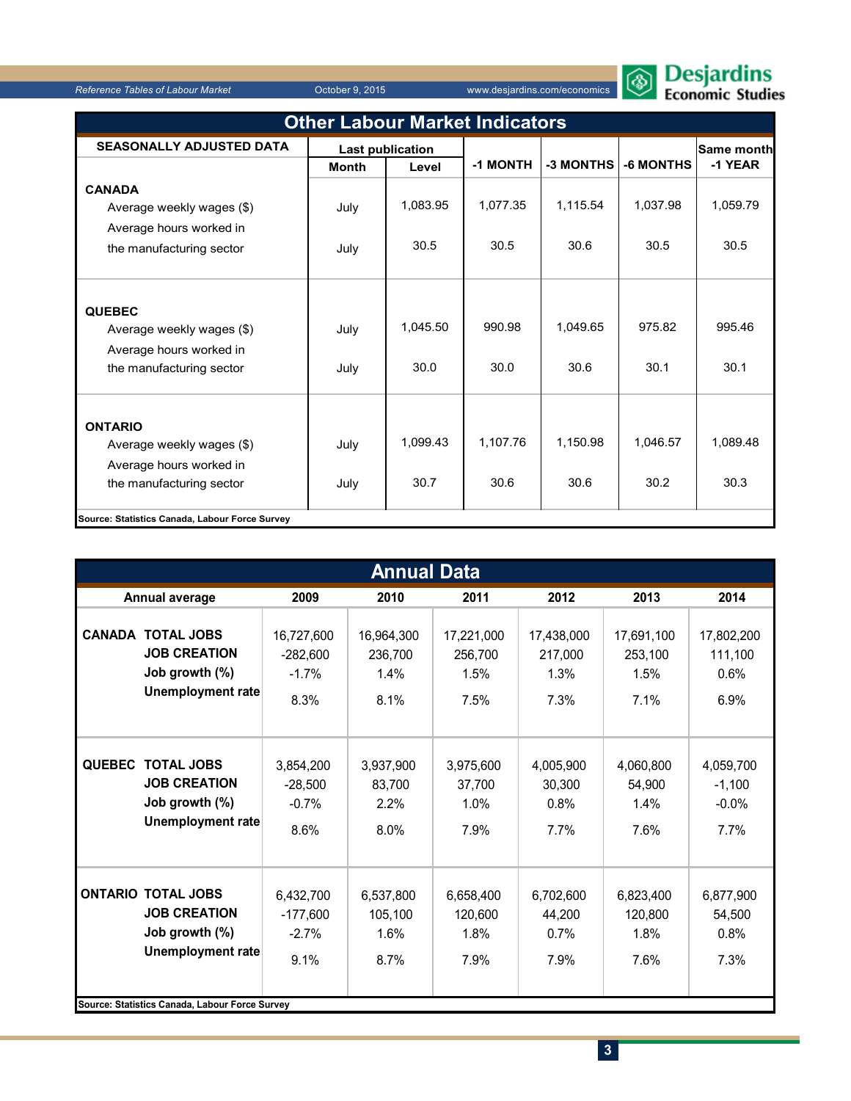

| <b>Other Labour Market Indicators</b>                                                              |                         |                  |                  |                  |                  |                  |  |  |  |  |
|----------------------------------------------------------------------------------------------------|-------------------------|------------------|------------------|------------------|------------------|------------------|--|--|--|--|
| <b>SEASONALLY ADJUSTED DATA</b>                                                                    | <b>Last publication</b> |                  |                  |                  |                  | Same month       |  |  |  |  |
|                                                                                                    | <b>Month</b>            | Level            | -1 MONTH         | -3 MONTHS        | -6 MONTHS        | -1 YEAR          |  |  |  |  |
| <b>CANADA</b><br>Average weekly wages (\$)<br>Average hours worked in                              | July                    | 1,083.95         | 1,077.35         | 1,115.54         | 1,037.98         | 1,059.79         |  |  |  |  |
| the manufacturing sector                                                                           | July                    | 30.5             | 30.5             | 30.6             | 30.5             | 30.5             |  |  |  |  |
| <b>QUEBEC</b><br>Average weekly wages (\$)<br>Average hours worked in<br>the manufacturing sector  | July<br>July            | 1,045.50<br>30.0 | 990.98<br>30.0   | 1,049.65<br>30.6 | 975.82<br>30.1   | 995.46<br>30.1   |  |  |  |  |
| <b>ONTARIO</b><br>Average weekly wages (\$)<br>Average hours worked in<br>the manufacturing sector | July<br>July            | 1,099.43<br>30.7 | 1,107.76<br>30.6 | 1.150.98<br>30.6 | 1.046.57<br>30.2 | 1,089.48<br>30.3 |  |  |  |  |
| Source: Statistics Canada, Labour Force Survey                                                     |                         |                  |                  |                  |                  |                  |  |  |  |  |

| <b>Annual Data</b> |                                                                                                                                                  |                                             |                                       |                                       |                                       |                                       |                                          |  |  |  |
|--------------------|--------------------------------------------------------------------------------------------------------------------------------------------------|---------------------------------------------|---------------------------------------|---------------------------------------|---------------------------------------|---------------------------------------|------------------------------------------|--|--|--|
|                    | Annual average                                                                                                                                   | 2009                                        | 2010                                  | 2011                                  | 2012                                  | 2013                                  | 2014                                     |  |  |  |
| <b>CANADA</b>      | <b>TOTAL JOBS</b><br><b>JOB CREATION</b><br>Job growth (%)<br>Unemployment rate                                                                  | 16,727,600<br>$-282.600$<br>$-1.7%$<br>8.3% | 16,964,300<br>236,700<br>1.4%<br>8.1% | 17,221,000<br>256.700<br>1.5%<br>7.5% | 17,438,000<br>217.000<br>1.3%<br>7.3% | 17,691,100<br>253,100<br>1.5%<br>7.1% | 17,802,200<br>111,100<br>0.6%<br>6.9%    |  |  |  |
|                    | QUEBEC TOTAL JOBS<br><b>JOB CREATION</b><br>Job growth (%)<br><b>Unemployment rate</b>                                                           | 3,854,200<br>$-28,500$<br>$-0.7%$<br>8.6%   | 3,937,900<br>83,700<br>2.2%<br>8.0%   | 3,975,600<br>37,700<br>1.0%<br>7.9%   | 4,005,900<br>30,300<br>0.8%<br>7.7%   | 4,060,800<br>54,900<br>1.4%<br>7.6%   | 4,059,700<br>$-1,100$<br>$-0.0%$<br>7.7% |  |  |  |
|                    | <b>ONTARIO TOTAL JOBS</b><br><b>JOB CREATION</b><br>Job growth (%)<br><b>Unemployment rate</b><br>Source: Statistics Canada, Labour Force Survey | 6,432,700<br>$-177,600$<br>$-2.7%$<br>9.1%  | 6,537,800<br>105,100<br>1.6%<br>8.7%  | 6,658,400<br>120,600<br>1.8%<br>7.9%  | 6,702,600<br>44,200<br>0.7%<br>7.9%   | 6,823,400<br>120,800<br>1.8%<br>7.6%  | 6,877,900<br>54,500<br>0.8%<br>7.3%      |  |  |  |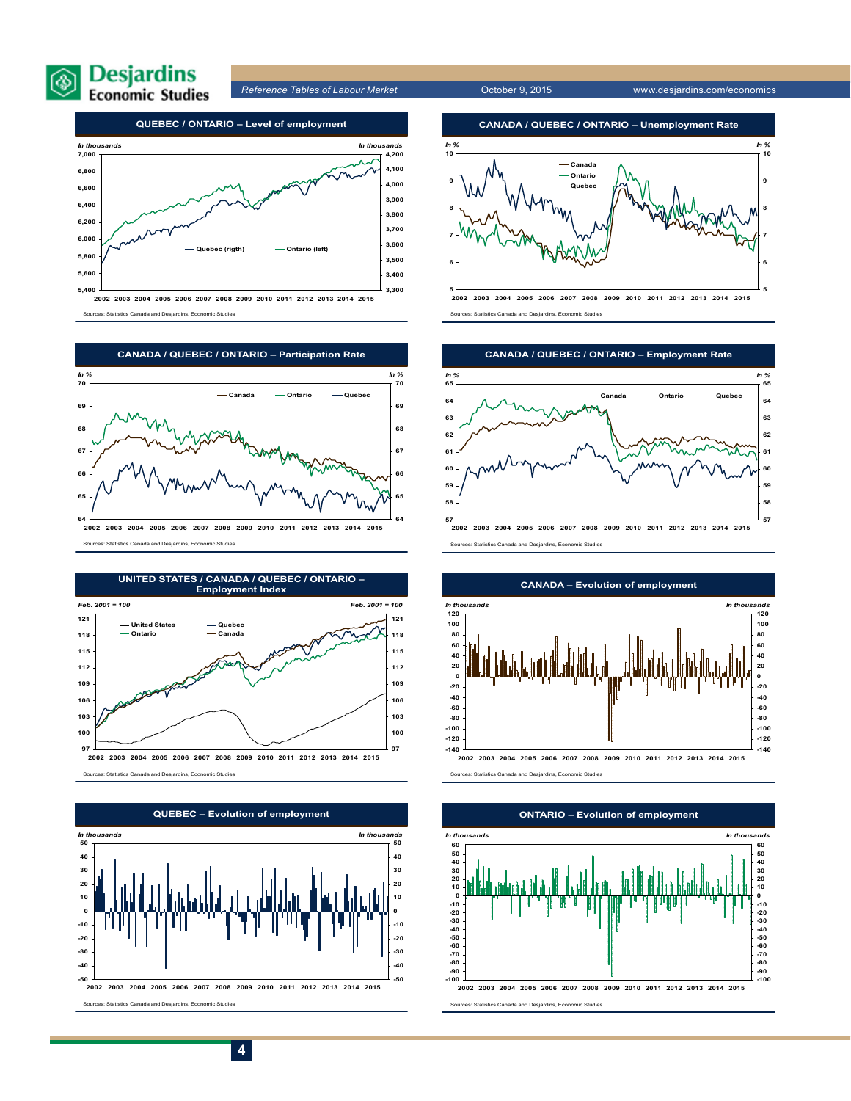



**2002 2003 2004 2005 2006 2007 2008 2009 2010 2011 2012 2013 2014 2015** Sources: Statistics Canada and Desjardins, Economic Studies



Sources: Statistics Canada and Desjardins, Economic Studies





Sources: Statistics Canada and Desjardins, Economic Studies



Sources: Statistics Canada and Desjardins, Economic Studies



Sources: Statistics Canada and Desjardins, Economic Studies



#### **CANADA – Evolution of employment**

Sources: Statistics Canada and Desjardins, Economic Studies